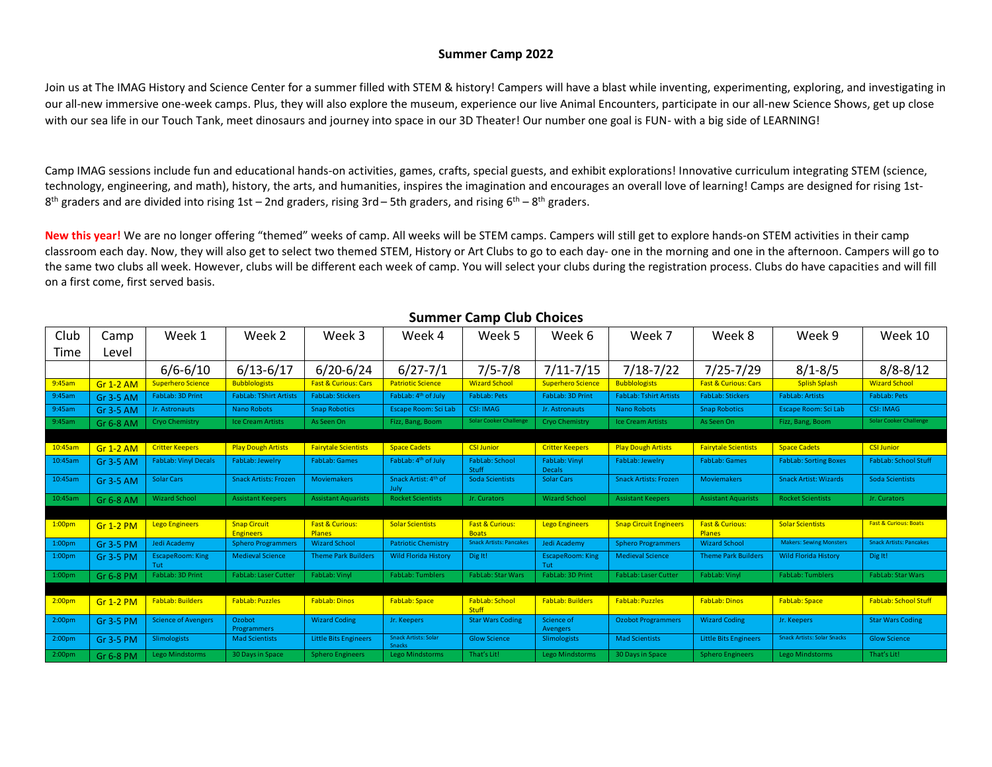#### **Summer Camp 2022**

Join us at The IMAG History and Science Center for a summer filled with STEM & history! Campers will have a blast while inventing, experimenting, exploring, and investigating in our all-new immersive one-week camps. Plus, they will also explore the museum, experience our live Animal Encounters, participate in our all-new Science Shows, get up close with our sea life in our Touch Tank, meet dinosaurs and journey into space in our 3D Theater! Our number one goal is FUN- with a big side of LEARNING!

Camp IMAG sessions include fun and educational hands-on activities, games, crafts, special guests, and exhibit explorations! Innovative curriculum integrating STEM (science, technology, engineering, and math), history, the arts, and humanities, inspires the imagination and encourages an overall love of learning! Camps are designed for rising 1st- $8^{th}$  graders and are divided into rising 1st – 2nd graders, rising 3rd – 5th graders, and rising 6<sup>th</sup> –  $8^{th}$  graders.

New this year! We are no longer offering "themed" weeks of camp. All weeks will be STEM camps. Campers will still get to explore hands-on STEM activities in their camp classroom each day. Now, they will also get to select two themed STEM, History or Art Clubs to go to each day- one in the morning and one in the afternoon. Campers will go to the same two clubs all week. However, clubs will be different each week of camp. You will select your clubs during the registration process. Clubs do have capacities and will fill on a first come, first served basis.

| Club               | Camp             | Week 1                         | Week 2                                  | Week 3                               | Week 4                                       | Week 5                                     | Week 6                         | Week 7                        | Week 8                                      | Week 9                             | Week 10                          |
|--------------------|------------------|--------------------------------|-----------------------------------------|--------------------------------------|----------------------------------------------|--------------------------------------------|--------------------------------|-------------------------------|---------------------------------------------|------------------------------------|----------------------------------|
| Time               | Level            |                                |                                         |                                      |                                              |                                            |                                |                               |                                             |                                    |                                  |
|                    |                  | $6/6 - 6/10$                   | $6/13 - 6/17$                           | $6/20 - 6/24$                        | $6/27 - 7/1$                                 | $7/5 - 7/8$                                | $7/11 - 7/15$                  | $7/18 - 7/22$                 | $7/25 - 7/29$                               | $8/1 - 8/5$                        | $8/8 - 8/12$                     |
| 9:45am             | <b>Gr 1-2 AM</b> | <b>Superhero Science</b>       | <b>Bubblologists</b>                    | <b>Fast &amp; Curious: Cars</b>      | <b>Patriotic Science</b>                     | <b>Wizard School</b>                       | <b>Superhero Science</b>       | <b>Bubblologists</b>          | Fast & Curious: Cars                        | <b>Splish Splash</b>               | <b>Wizard School</b>             |
| 9:45am             | Gr 3-5 AM        | FabLab: 3D Print               | <b>FabLab: TShirt Artists</b>           | <b>FabLab: Stickers</b>              | FabLab: 4 <sup>th</sup> of July              | FabLab: Pets                               | FabLab: 3D Print               | <b>FabLab: Tshirt Artists</b> | <b>FabLab: Stickers</b>                     | <b>FabLab: Artists</b>             | <b>FabLab: Pets</b>              |
| 9:45am             | Gr 3-5 AM        | Jr. Astronauts                 | Nano Robots                             | <b>Snap Robotics</b>                 | Escape Room: Sci Lab                         | <b>CSI: IMAG</b>                           | Jr. Astronauts                 | <b>Nano Robots</b>            | <b>Snap Robotics</b>                        | Escape Room: Sci Lab               | <b>CSI: IMAG</b>                 |
| 9:45am             | Gr 6-8 AM        | Cryo Chemistry                 | <b>Ice Cream Artists</b>                | As Seen On                           | Fizz, Bang, Boom                             | <b>Solar Cooker Challenge</b>              | Cryo Chemistry                 | <b>Ice Cream Artists</b>      | As Seen On                                  | Fizz, Bang, Boom                   | <b>Solar Cooker Challenge</b>    |
|                    |                  |                                |                                         |                                      |                                              |                                            |                                |                               |                                             |                                    |                                  |
| 10:45am            | <b>Gr 1-2 AM</b> | <b>Critter Keepers</b>         | <b>Play Dough Artists</b>               | <b>Fairytale Scientists</b>          | <b>Space Cadets</b>                          | <b>CSI Junior</b>                          | <b>Critter Keepers</b>         | <b>Play Dough Artists</b>     | <b>Fairytale Scientists</b>                 | <b>Space Cadets</b>                | <b>CSI Junior</b>                |
| 10:45am            | Gr 3-5 AM        | <b>FabLab: Vinyl Decals</b>    | FabLab: Jewelry                         | <b>FabLab: Games</b>                 | FabLab: 4 <sup>th</sup> of July              | FabLab: School<br>Stuff                    | FabLab: Vinyl<br><b>Decals</b> | FabLab: Jewelry               | FabLab: Games                               | <b>FabLab: Sorting Boxes</b>       | <b>FabLab: School Stuff</b>      |
| 10:45am            | Gr 3-5 AM        | <b>Solar Cars</b>              | <b>Snack Artists: Frozen</b>            | <b>Moviemakers</b>                   | Snack Artist: 4 <sup>th</sup> of<br>July     | Soda Scientists                            | <b>Solar Cars</b>              | <b>Snack Artists: Frozen</b>  | <b>Moviemakers</b>                          | <b>Snack Artist: Wizards</b>       | Soda Scientists                  |
| 10:45am            | Gr 6-8 AM        | <b>Wizard School</b>           | <b>Assistant Keepers</b>                | <b>Assistant Aquarists</b>           | <b>Rocket Scientists</b>                     | Jr. Curators                               | <b>Wizard School</b>           | <b>Assistant Keepers</b>      | <b>Assistant Aquarists</b>                  | <b>Rocket Scientists</b>           | Jr. Curators                     |
|                    |                  |                                |                                         |                                      |                                              |                                            |                                |                               |                                             |                                    |                                  |
| 1:00 <sub>pm</sub> | <b>Gr 1-2 PM</b> | <b>Lego Engineers</b>          | <b>Snap Circuit</b><br><b>Engineers</b> | <b>Fast &amp; Curious:</b><br>Planes | <b>Solar Scientists</b>                      | <b>Fast &amp; Curious:</b><br><b>Boats</b> | <b>Lego Engineers</b>          | <b>Snap Circuit Engineers</b> | <b>Fast &amp; Curious:</b><br><b>Planes</b> | <b>Solar Scientists</b>            | <b>Fast &amp; Curious: Boats</b> |
| 1:00 <sub>pm</sub> | Gr 3-5 PM        | Jedi Academy                   | <b>Sphero Programmers</b>               | <b>Wizard School</b>                 | <b>Patriotic Chemistry</b>                   | <b>Snack Artists: Pancakes</b>             | Jedi Academy                   | <b>Sphero Programmers</b>     | <b>Wizard School</b>                        | <b>Makers: Sewing Monsters</b>     | <b>Snack Artists: Pancakes</b>   |
| 1:00 <sub>pm</sub> | Gr 3-5 PM        | <b>EscapeRoom: King</b><br>Tut | <b>Medieval Science</b>                 | <b>Theme Park Builders</b>           | <b>Wild Florida History</b>                  | Dig It!                                    | <b>EscapeRoom: King</b><br>Tut | <b>Medieval Science</b>       | <b>Theme Park Builders</b>                  | <b>Wild Florida History</b>        | Dig It!                          |
| 1:00 <sub>pm</sub> | Gr 6-8 PM        | FabLab: 3D Print               | <b>FabLab: Laser Cutter</b>             | FabLab: Vinyl                        | <b>FabLab: Tumblers</b>                      | <b>FabLab: Star Wars</b>                   | FabLab: 3D Print               | FabLab: Laser Cutter          | FabLab: Vinyl                               | FabLab: Tumblers                   | FabLab: Star Wars                |
|                    |                  |                                |                                         |                                      |                                              |                                            |                                |                               |                                             |                                    |                                  |
| 2:00 <sub>pm</sub> | <b>Gr 1-2 PM</b> | <b>FabLab: Builders</b>        | <b>FabLab: Puzzles</b>                  | <b>FabLab: Dinos</b>                 | <b>FabLab: Space</b>                         | FabLab: School<br><b>Stuff</b>             | <b>FabLab: Builders</b>        | <b>FabLab: Puzzles</b>        | <b>FabLab: Dinos</b>                        | <b>FabLab: Space</b>               | <b>FabLab: School Stuff</b>      |
| 2:00 <sub>pm</sub> | Gr 3-5 PM        | <b>Science of Avengers</b>     | Ozobot<br>Programmers                   | <b>Wizard Coding</b>                 | Jr. Keepers                                  | <b>Star Wars Coding</b>                    | Science of<br>Avengers         | <b>Ozobot Programmers</b>     | <b>Wizard Coding</b>                        | Jr. Keepers                        | <b>Star Wars Coding</b>          |
| 2:00 <sub>pm</sub> | Gr 3-5 PM        | Slimologists                   | <b>Mad Scientists</b>                   | <b>Little Bits Engineers</b>         | <b>Snack Artists: Solar</b><br><b>Snacks</b> | <b>Glow Science</b>                        | Slimologists                   | <b>Mad Scientists</b>         | <b>Little Bits Engineers</b>                | <b>Snack Artists: Solar Snacks</b> | <b>Glow Science</b>              |
| 2:00 <sub>pm</sub> | Gr 6-8 PM        | Lego Mindstorms                | 30 Days in Space                        | <b>Sphero Engineers</b>              | <b>Lego Mindstorms</b>                       | That's Lit!                                | <b>Lego Mindstorms</b>         | 30 Days in Space              | <b>Sphero Engineers</b>                     | <b>Lego Mindstorms</b>             | That's Lit!                      |

#### **Summer Camp Club Choices**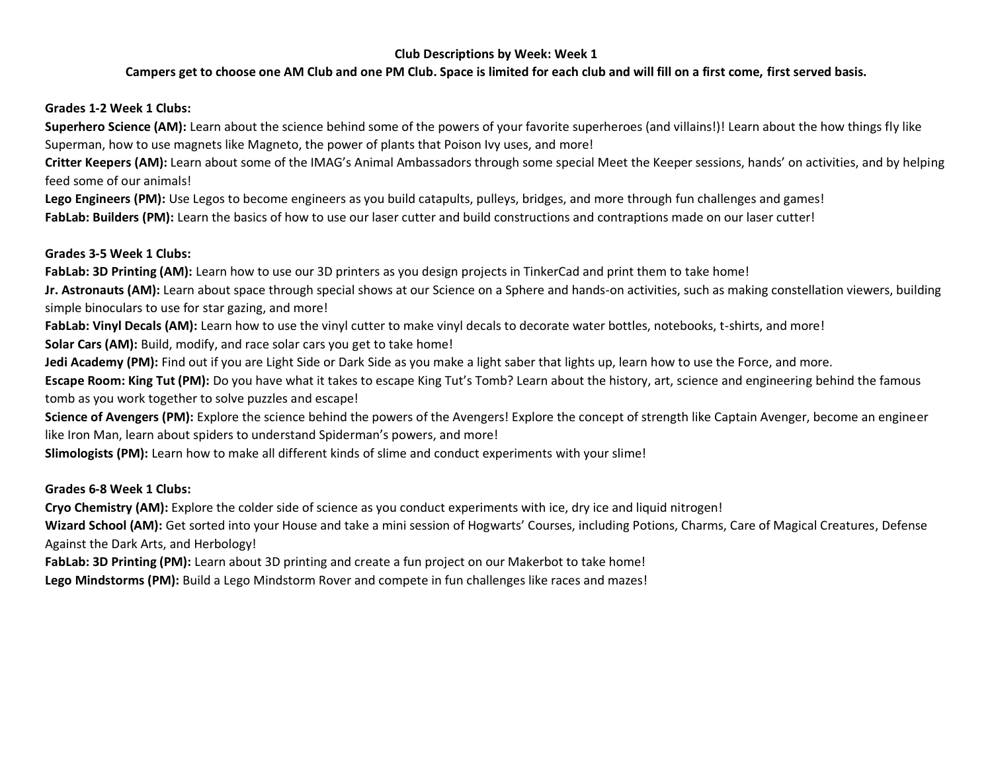## **Campers get to choose one AM Club and one PM Club. Space is limited for each club and will fill on a first come, first served basis.**

### **Grades 1-2 Week 1 Clubs:**

**Superhero Science (AM):** Learn about the science behind some of the powers of your favorite superheroes (and villains!)! Learn about the how things fly like Superman, how to use magnets like Magneto, the power of plants that Poison Ivy uses, and more!

**Critter Keepers (AM):** Learn about some of the IMAG's Animal Ambassadors through some special Meet the Keeper sessions, hands' on activities, and by helping feed some of our animals!

**Lego Engineers (PM):** Use Legos to become engineers as you build catapults, pulleys, bridges, and more through fun challenges and games! FabLab: Builders (PM): Learn the basics of how to use our laser cutter and build constructions and contraptions made on our laser cutter!

### **Grades 3-5 Week 1 Clubs:**

FabLab: 3D Printing (AM): Learn how to use our 3D printers as you design projects in TinkerCad and print them to take home!

**Jr. Astronauts (AM):** Learn about space through special shows at our Science on a Sphere and hands-on activities, such as making constellation viewers, building simple binoculars to use for star gazing, and more!

FabLab: Vinyl Decals (AM): Learn how to use the vinyl cutter to make vinyl decals to decorate water bottles, notebooks, t-shirts, and more!

**Solar Cars (AM):** Build, modify, and race solar cars you get to take home!

**Jedi Academy (PM):** Find out if you are Light Side or Dark Side as you make a light saber that lights up, learn how to use the Force, and more.

**Escape Room: King Tut (PM):** Do you have what it takes to escape King Tut's Tomb? Learn about the history, art, science and engineering behind the famous tomb as you work together to solve puzzles and escape!

Science of Avengers (PM): Explore the science behind the powers of the Avengers! Explore the concept of strength like Captain Avenger, become an engineer like Iron Man, learn about spiders to understand Spiderman's powers, and more!

**Slimologists (PM):** Learn how to make all different kinds of slime and conduct experiments with your slime!

# **Grades 6-8 Week 1 Clubs:**

**Cryo Chemistry (AM):** Explore the colder side of science as you conduct experiments with ice, dry ice and liquid nitrogen!

**Wizard School (AM):** Get sorted into your House and take a mini session of Hogwarts' Courses, including Potions, Charms, Care of Magical Creatures, Defense Against the Dark Arts, and Herbology!

**FabLab: 3D Printing (PM):** Learn about 3D printing and create a fun project on our Makerbot to take home!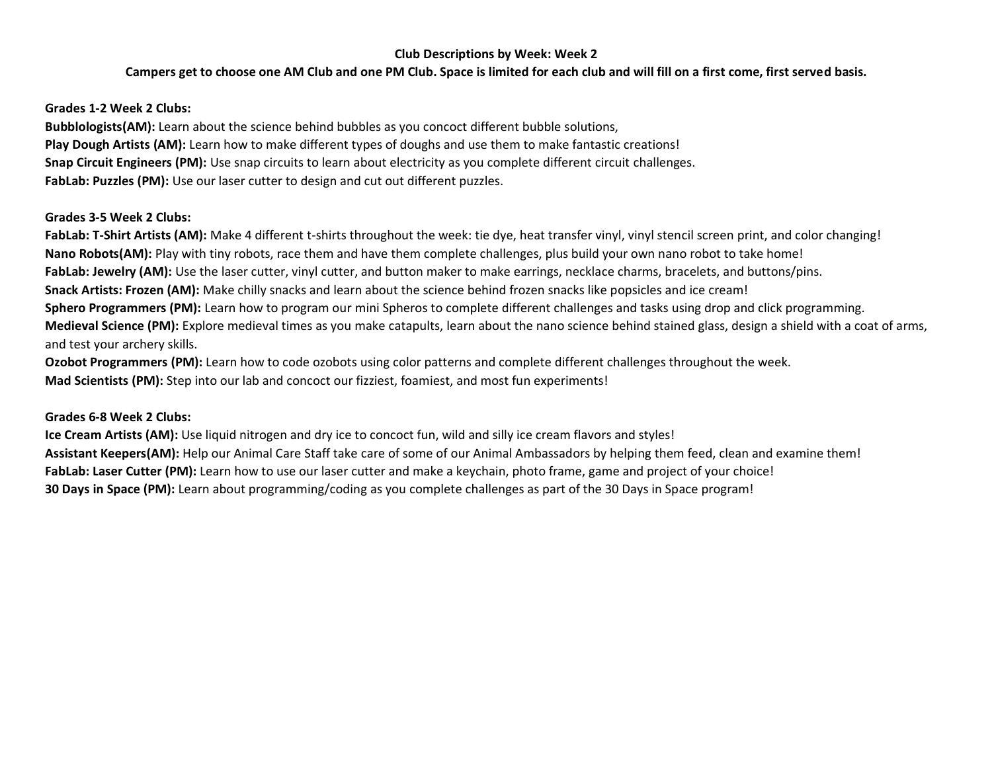## **Campers get to choose one AM Club and one PM Club. Space is limited for each club and will fill on a first come, first served basis.**

### **Grades 1-2 Week 2 Clubs:**

**Bubblologists(AM):** Learn about the science behind bubbles as you concoct different bubble solutions, **Play Dough Artists (AM):** Learn how to make different types of doughs and use them to make fantastic creations! **Snap Circuit Engineers (PM):** Use snap circuits to learn about electricity as you complete different circuit challenges. **FabLab: Puzzles (PM):** Use our laser cutter to design and cut out different puzzles.

### **Grades 3-5 Week 2 Clubs:**

**FabLab: T-Shirt Artists (AM):** Make 4 different t-shirts throughout the week: tie dye, heat transfer vinyl, vinyl stencil screen print, and color changing! **Nano Robots(AM):** Play with tiny robots, race them and have them complete challenges, plus build your own nano robot to take home! FabLab: Jewelry (AM): Use the laser cutter, vinyl cutter, and button maker to make earrings, necklace charms, bracelets, and buttons/pins. **Snack Artists: Frozen (AM):** Make chilly snacks and learn about the science behind frozen snacks like popsicles and ice cream! **Sphero Programmers (PM):** Learn how to program our mini Spheros to complete different challenges and tasks using drop and click programming. **Medieval Science (PM):** Explore medieval times as you make catapults, learn about the nano science behind stained glass, design a shield with a coat of arms, and test your archery skills.

**Ozobot Programmers (PM):** Learn how to code ozobots using color patterns and complete different challenges throughout the week. **Mad Scientists (PM):** Step into our lab and concoct our fizziest, foamiest, and most fun experiments!

### **Grades 6-8 Week 2 Clubs:**

**Ice Cream Artists (AM):** Use liquid nitrogen and dry ice to concoct fun, wild and silly ice cream flavors and styles! **Assistant Keepers(AM):** Help our Animal Care Staff take care of some of our Animal Ambassadors by helping them feed, clean and examine them! **FabLab: Laser Cutter (PM):** Learn how to use our laser cutter and make a keychain, photo frame, game and project of your choice! **30 Days in Space (PM):** Learn about programming/coding as you complete challenges as part of the 30 Days in Space program!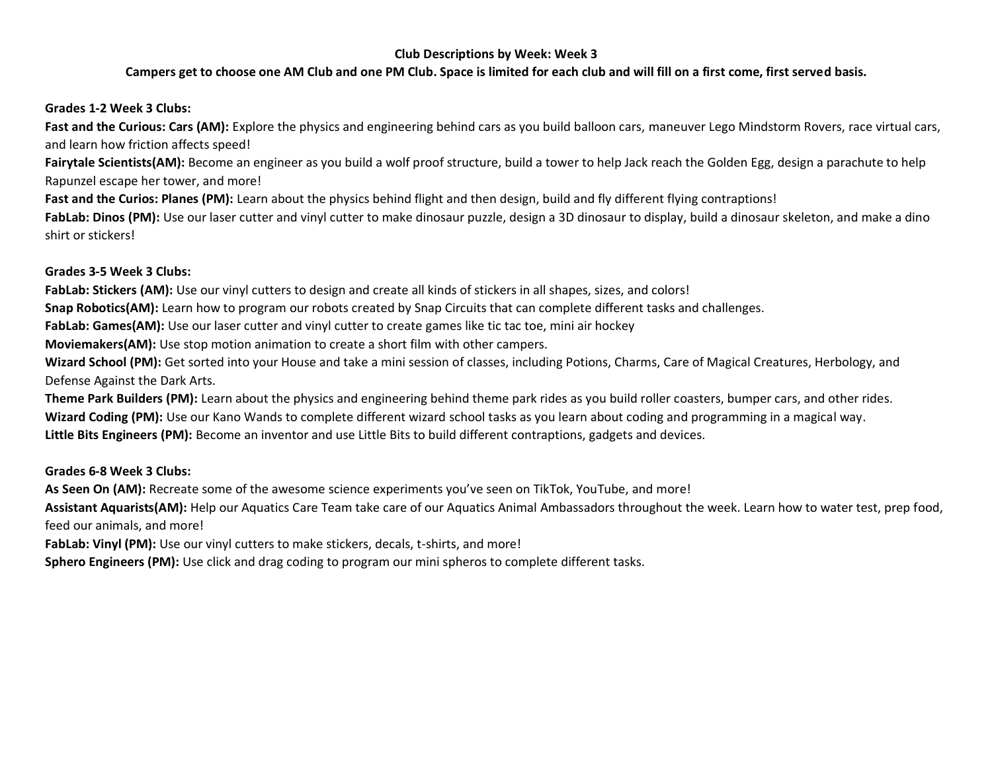### **Campers get to choose one AM Club and one PM Club. Space is limited for each club and will fill on a first come, first served basis.**

### **Grades 1-2 Week 3 Clubs:**

**Fast and the Curious: Cars (AM):** Explore the physics and engineering behind cars as you build balloon cars, maneuver Lego Mindstorm Rovers, race virtual cars, and learn how friction affects speed!

Fairytale Scientists(AM): Become an engineer as you build a wolf proof structure, build a tower to help Jack reach the Golden Egg, design a parachute to help Rapunzel escape her tower, and more!

Fast and the Curios: Planes (PM): Learn about the physics behind flight and then design, build and fly different flying contraptions!

FabLab: Dinos (PM): Use our laser cutter and vinyl cutter to make dinosaur puzzle, design a 3D dinosaur to display, build a dinosaur skeleton, and make a dino shirt or stickers!

#### **Grades 3-5 Week 3 Clubs:**

**FabLab: Stickers (AM):** Use our vinyl cutters to design and create all kinds of stickers in all shapes, sizes, and colors!

**Snap Robotics(AM):** Learn how to program our robots created by Snap Circuits that can complete different tasks and challenges.

**FabLab: Games(AM):** Use our laser cutter and vinyl cutter to create games like tic tac toe, mini air hockey

**Moviemakers(AM):** Use stop motion animation to create a short film with other campers.

**Wizard School (PM):** Get sorted into your House and take a mini session of classes, including Potions, Charms, Care of Magical Creatures, Herbology, and Defense Against the Dark Arts.

**Theme Park Builders (PM):** Learn about the physics and engineering behind theme park rides as you build roller coasters, bumper cars, and other rides. **Wizard Coding (PM):** Use our Kano Wands to complete different wizard school tasks as you learn about coding and programming in a magical way. **Little Bits Engineers (PM):** Become an inventor and use Little Bits to build different contraptions, gadgets and devices.

### **Grades 6-8 Week 3 Clubs:**

**As Seen On (AM):** Recreate some of the awesome science experiments you've seen on TikTok, YouTube, and more!

**Assistant Aquarists(AM):** Help our Aquatics Care Team take care of our Aquatics Animal Ambassadors throughout the week. Learn how to water test, prep food, feed our animals, and more!

FabLab: Vinyl (PM): Use our vinyl cutters to make stickers, decals, t-shirts, and more!

**Sphero Engineers (PM):** Use click and drag coding to program our mini spheros to complete different tasks.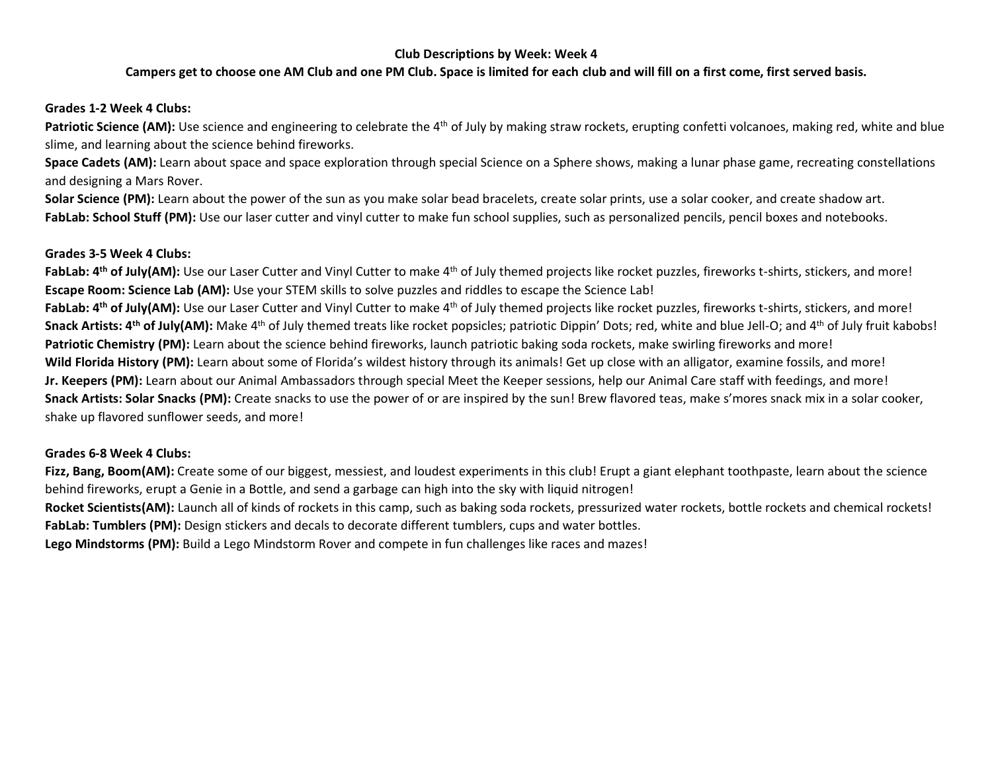### **Campers get to choose one AM Club and one PM Club. Space is limited for each club and will fill on a first come, first served basis.**

### **Grades 1-2 Week 4 Clubs:**

Patriotic Science (AM): Use science and engineering to celebrate the 4<sup>th</sup> of July by making straw rockets, erupting confetti volcanoes, making red, white and blue slime, and learning about the science behind fireworks.

**Space Cadets (AM):** Learn about space and space exploration through special Science on a Sphere shows, making a lunar phase game, recreating constellations and designing a Mars Rover.

**Solar Science (PM):** Learn about the power of the sun as you make solar bead bracelets, create solar prints, use a solar cooker, and create shadow art. FabLab: School Stuff (PM): Use our laser cutter and vinyl cutter to make fun school supplies, such as personalized pencils, pencil boxes and notebooks.

#### **Grades 3-5 Week 4 Clubs:**

FabLab: 4<sup>th</sup> of July(AM): Use our Laser Cutter and Vinyl Cutter to make 4<sup>th</sup> of July themed projects like rocket puzzles, fireworks t-shirts, stickers, and more! **Escape Room: Science Lab (AM):** Use your STEM skills to solve puzzles and riddles to escape the Science Lab! FabLab: 4<sup>th</sup> of July(AM): Use our Laser Cutter and Vinyl Cutter to make 4<sup>th</sup> of July themed projects like rocket puzzles, fireworks t-shirts, stickers, and more! **Snack Artists: 4th of July(AM):** Make 4th of July themed treats like rocket popsicles; patriotic Dippin' Dots; red, white and blue Jell-O; and 4th of July fruit kabobs! **Patriotic Chemistry (PM):** Learn about the science behind fireworks, launch patriotic baking soda rockets, make swirling fireworks and more! **Wild Florida History (PM):** Learn about some of Florida's wildest history through its animals! Get up close with an alligator, examine fossils, and more! **Jr. Keepers (PM):** Learn about our Animal Ambassadors through special Meet the Keeper sessions, help our Animal Care staff with feedings, and more! **Snack Artists: Solar Snacks (PM):** Create snacks to use the power of or are inspired by the sun! Brew flavored teas, make s'mores snack mix in a solar cooker, shake up flavored sunflower seeds, and more!

### **Grades 6-8 Week 4 Clubs:**

Fizz, Bang, Boom(AM): Create some of our biggest, messiest, and loudest experiments in this club! Erupt a giant elephant toothpaste, learn about the science behind fireworks, erupt a Genie in a Bottle, and send a garbage can high into the sky with liquid nitrogen! Rocket Scientists(AM): Launch all of kinds of rockets in this camp, such as baking soda rockets, pressurized water rockets, bottle rockets and chemical rockets! **FabLab: Tumblers (PM):** Design stickers and decals to decorate different tumblers, cups and water bottles.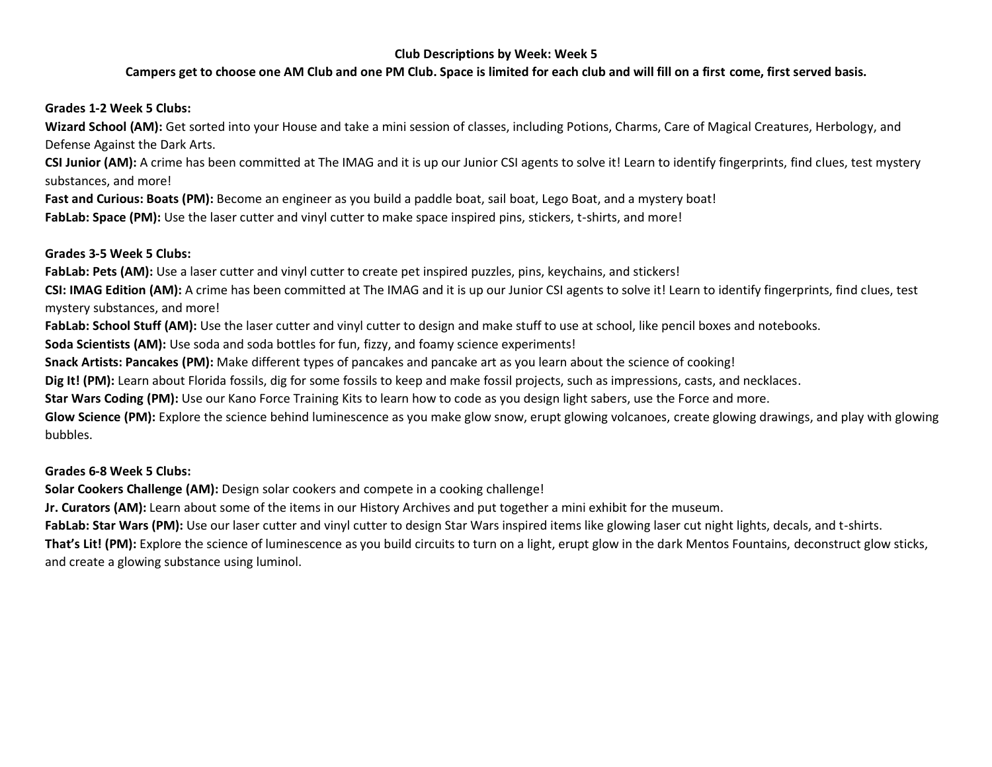# **Campers get to choose one AM Club and one PM Club. Space is limited for each club and will fill on a first come, first served basis.**

# **Grades 1-2 Week 5 Clubs:**

**Wizard School (AM):** Get sorted into your House and take a mini session of classes, including Potions, Charms, Care of Magical Creatures, Herbology, and Defense Against the Dark Arts.

**CSI Junior (AM):** A crime has been committed at The IMAG and it is up our Junior CSI agents to solve it! Learn to identify fingerprints, find clues, test mystery substances, and more!

**Fast and Curious: Boats (PM):** Become an engineer as you build a paddle boat, sail boat, Lego Boat, and a mystery boat! **FabLab: Space (PM):** Use the laser cutter and vinyl cutter to make space inspired pins, stickers, t-shirts, and more!

### **Grades 3-5 Week 5 Clubs:**

**FabLab: Pets (AM):** Use a laser cutter and vinyl cutter to create pet inspired puzzles, pins, keychains, and stickers!

**CSI: IMAG Edition (AM):** A crime has been committed at The IMAG and it is up our Junior CSI agents to solve it! Learn to identify fingerprints, find clues, test mystery substances, and more!

**FabLab: School Stuff (AM):** Use the laser cutter and vinyl cutter to design and make stuff to use at school, like pencil boxes and notebooks.

**Soda Scientists (AM):** Use soda and soda bottles for fun, fizzy, and foamy science experiments!

**Snack Artists: Pancakes (PM):** Make different types of pancakes and pancake art as you learn about the science of cooking!

**Dig It! (PM):** Learn about Florida fossils, dig for some fossils to keep and make fossil projects, such as impressions, casts, and necklaces.

**Star Wars Coding (PM):** Use our Kano Force Training Kits to learn how to code as you design light sabers, use the Force and more.

**Glow Science (PM):** Explore the science behind luminescence as you make glow snow, erupt glowing volcanoes, create glowing drawings, and play with glowing bubbles.

### **Grades 6-8 Week 5 Clubs:**

**Solar Cookers Challenge (AM):** Design solar cookers and compete in a cooking challenge!

**Jr. Curators (AM):** Learn about some of the items in our History Archives and put together a mini exhibit for the museum.

**FabLab: Star Wars (PM):** Use our laser cutter and vinyl cutter to design Star Wars inspired items like glowing laser cut night lights, decals, and t-shirts.

**That's Lit! (PM):** Explore the science of luminescence as you build circuits to turn on a light, erupt glow in the dark Mentos Fountains, deconstruct glow sticks, and create a glowing substance using luminol.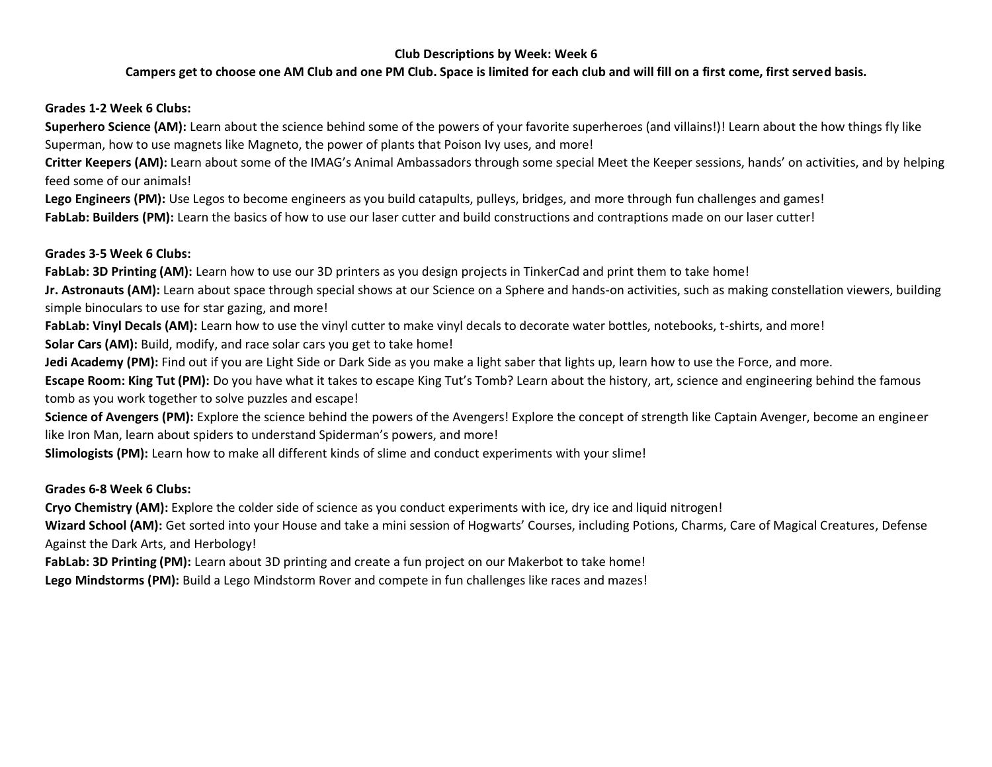## **Campers get to choose one AM Club and one PM Club. Space is limited for each club and will fill on a first come, first served basis.**

### **Grades 1-2 Week 6 Clubs:**

**Superhero Science (AM):** Learn about the science behind some of the powers of your favorite superheroes (and villains!)! Learn about the how things fly like Superman, how to use magnets like Magneto, the power of plants that Poison Ivy uses, and more!

**Critter Keepers (AM):** Learn about some of the IMAG's Animal Ambassadors through some special Meet the Keeper sessions, hands' on activities, and by helping feed some of our animals!

**Lego Engineers (PM):** Use Legos to become engineers as you build catapults, pulleys, bridges, and more through fun challenges and games! FabLab: Builders (PM): Learn the basics of how to use our laser cutter and build constructions and contraptions made on our laser cutter!

### **Grades 3-5 Week 6 Clubs:**

FabLab: 3D Printing (AM): Learn how to use our 3D printers as you design projects in TinkerCad and print them to take home!

**Jr. Astronauts (AM):** Learn about space through special shows at our Science on a Sphere and hands-on activities, such as making constellation viewers, building simple binoculars to use for star gazing, and more!

FabLab: Vinyl Decals (AM): Learn how to use the vinyl cutter to make vinyl decals to decorate water bottles, notebooks, t-shirts, and more!

**Solar Cars (AM):** Build, modify, and race solar cars you get to take home!

**Jedi Academy (PM):** Find out if you are Light Side or Dark Side as you make a light saber that lights up, learn how to use the Force, and more.

**Escape Room: King Tut (PM):** Do you have what it takes to escape King Tut's Tomb? Learn about the history, art, science and engineering behind the famous tomb as you work together to solve puzzles and escape!

Science of Avengers (PM): Explore the science behind the powers of the Avengers! Explore the concept of strength like Captain Avenger, become an engineer like Iron Man, learn about spiders to understand Spiderman's powers, and more!

**Slimologists (PM):** Learn how to make all different kinds of slime and conduct experiments with your slime!

### **Grades 6-8 Week 6 Clubs:**

**Cryo Chemistry (AM):** Explore the colder side of science as you conduct experiments with ice, dry ice and liquid nitrogen!

Wizard School (AM): Get sorted into your House and take a mini session of Hogwarts' Courses, including Potions, Charms, Care of Magical Creatures, Defense Against the Dark Arts, and Herbology!

**FabLab: 3D Printing (PM):** Learn about 3D printing and create a fun project on our Makerbot to take home!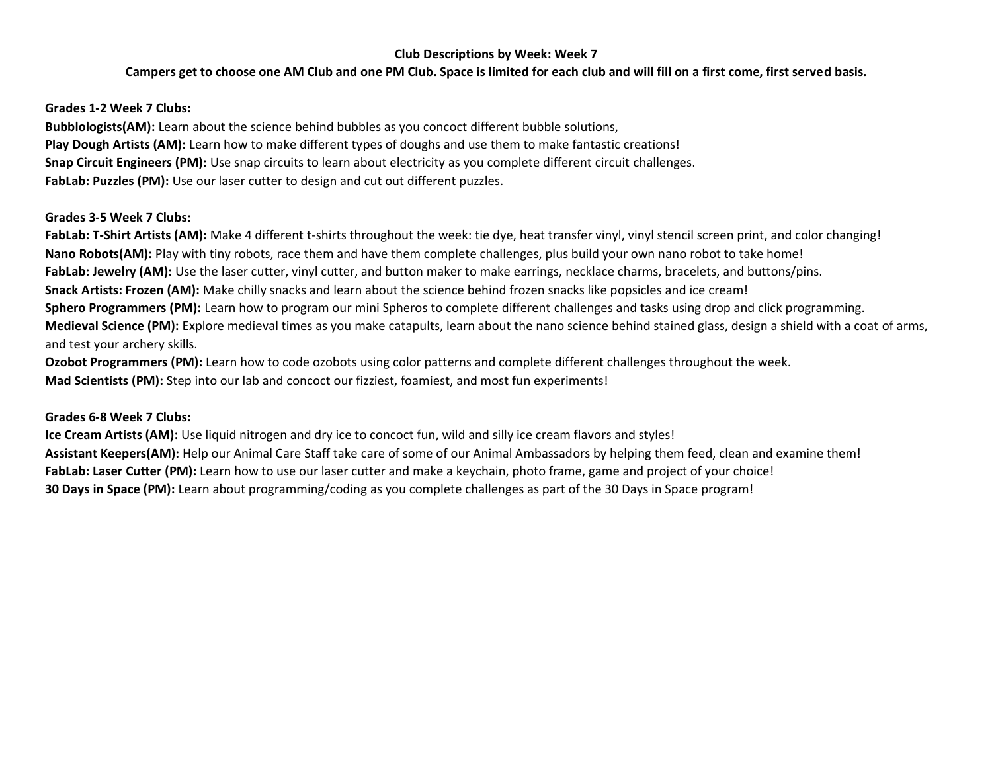# **Campers get to choose one AM Club and one PM Club. Space is limited for each club and will fill on a first come, first served basis.**

### **Grades 1-2 Week 7 Clubs:**

**Bubblologists(AM):** Learn about the science behind bubbles as you concoct different bubble solutions, **Play Dough Artists (AM):** Learn how to make different types of doughs and use them to make fantastic creations! **Snap Circuit Engineers (PM):** Use snap circuits to learn about electricity as you complete different circuit challenges. **FabLab: Puzzles (PM):** Use our laser cutter to design and cut out different puzzles.

### **Grades 3-5 Week 7 Clubs:**

**FabLab: T-Shirt Artists (AM):** Make 4 different t-shirts throughout the week: tie dye, heat transfer vinyl, vinyl stencil screen print, and color changing! **Nano Robots(AM):** Play with tiny robots, race them and have them complete challenges, plus build your own nano robot to take home! FabLab: Jewelry (AM): Use the laser cutter, vinyl cutter, and button maker to make earrings, necklace charms, bracelets, and buttons/pins. **Snack Artists: Frozen (AM):** Make chilly snacks and learn about the science behind frozen snacks like popsicles and ice cream! **Sphero Programmers (PM):** Learn how to program our mini Spheros to complete different challenges and tasks using drop and click programming. **Medieval Science (PM):** Explore medieval times as you make catapults, learn about the nano science behind stained glass, design a shield with a coat of arms, and test your archery skills.

**Ozobot Programmers (PM):** Learn how to code ozobots using color patterns and complete different challenges throughout the week. **Mad Scientists (PM):** Step into our lab and concoct our fizziest, foamiest, and most fun experiments!

### **Grades 6-8 Week 7 Clubs:**

**Ice Cream Artists (AM):** Use liquid nitrogen and dry ice to concoct fun, wild and silly ice cream flavors and styles! **Assistant Keepers(AM):** Help our Animal Care Staff take care of some of our Animal Ambassadors by helping them feed, clean and examine them! FabLab: Laser Cutter (PM): Learn how to use our laser cutter and make a keychain, photo frame, game and project of your choice! **30 Days in Space (PM):** Learn about programming/coding as you complete challenges as part of the 30 Days in Space program!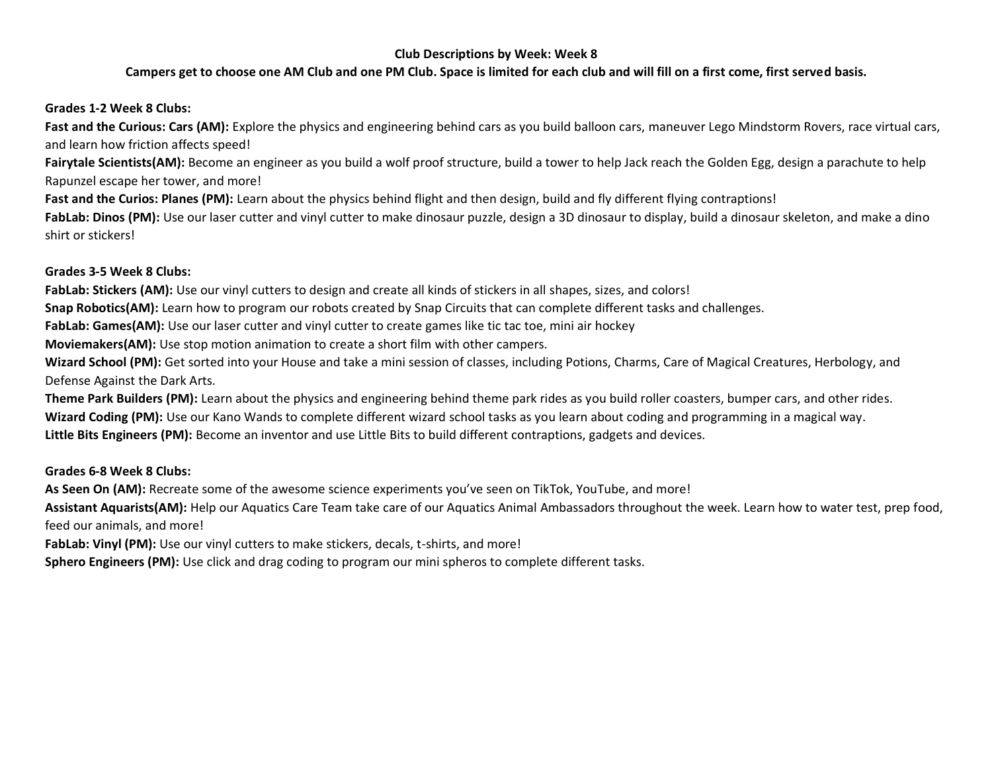### **Campers get to choose one AM Club and one PM Club. Space is limited for each club and will fill on a first come, first served basis.**

### **Grades 1-2 Week 8 Clubs:**

**Fast and the Curious: Cars (AM):** Explore the physics and engineering behind cars as you build balloon cars, maneuver Lego Mindstorm Rovers, race virtual cars, and learn how friction affects speed!

Fairytale Scientists(AM): Become an engineer as you build a wolf proof structure, build a tower to help Jack reach the Golden Egg, design a parachute to help Rapunzel escape her tower, and more!

Fast and the Curios: Planes (PM): Learn about the physics behind flight and then design, build and fly different flying contraptions!

FabLab: Dinos (PM): Use our laser cutter and vinyl cutter to make dinosaur puzzle, design a 3D dinosaur to display, build a dinosaur skeleton, and make a dino shirt or stickers!

#### **Grades 3-5 Week 8 Clubs:**

**FabLab: Stickers (AM):** Use our vinyl cutters to design and create all kinds of stickers in all shapes, sizes, and colors!

**Snap Robotics(AM):** Learn how to program our robots created by Snap Circuits that can complete different tasks and challenges.

**FabLab: Games(AM):** Use our laser cutter and vinyl cutter to create games like tic tac toe, mini air hockey

**Moviemakers(AM):** Use stop motion animation to create a short film with other campers.

**Wizard School (PM):** Get sorted into your House and take a mini session of classes, including Potions, Charms, Care of Magical Creatures, Herbology, and Defense Against the Dark Arts.

**Theme Park Builders (PM):** Learn about the physics and engineering behind theme park rides as you build roller coasters, bumper cars, and other rides. **Wizard Coding (PM):** Use our Kano Wands to complete different wizard school tasks as you learn about coding and programming in a magical way. **Little Bits Engineers (PM):** Become an inventor and use Little Bits to build different contraptions, gadgets and devices.

### **Grades 6-8 Week 8 Clubs:**

**As Seen On (AM):** Recreate some of the awesome science experiments you've seen on TikTok, YouTube, and more!

**Assistant Aquarists(AM):** Help our Aquatics Care Team take care of our Aquatics Animal Ambassadors throughout the week. Learn how to water test, prep food, feed our animals, and more!

FabLab: Vinyl (PM): Use our vinyl cutters to make stickers, decals, t-shirts, and more!

**Sphero Engineers (PM):** Use click and drag coding to program our mini spheros to complete different tasks.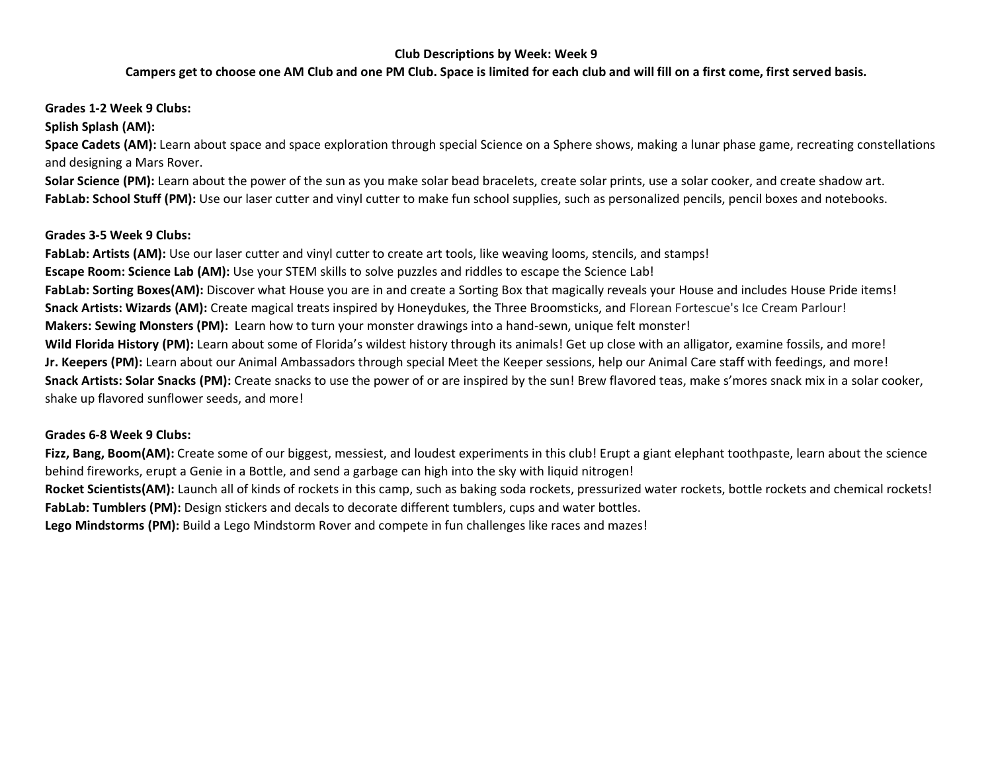### **Campers get to choose one AM Club and one PM Club. Space is limited for each club and will fill on a first come, first served basis.**

## **Grades 1-2 Week 9 Clubs:**

**Splish Splash (AM):**

**Space Cadets (AM):** Learn about space and space exploration through special Science on a Sphere shows, making a lunar phase game, recreating constellations and designing a Mars Rover.

**Solar Science (PM):** Learn about the power of the sun as you make solar bead bracelets, create solar prints, use a solar cooker, and create shadow art. FabLab: School Stuff (PM): Use our laser cutter and vinyl cutter to make fun school supplies, such as personalized pencils, pencil boxes and notebooks.

### **Grades 3-5 Week 9 Clubs:**

FabLab: Artists (AM): Use our laser cutter and vinyl cutter to create art tools, like weaving looms, stencils, and stamps! **Escape Room: Science Lab (AM):** Use your STEM skills to solve puzzles and riddles to escape the Science Lab! FabLab: Sorting Boxes(AM): Discover what House you are in and create a Sorting Box that magically reveals your House and includes House Pride items! **Snack Artists: Wizards (AM):** Create magical treats inspired by Honeydukes, the Three Broomsticks, and Florean Fortescue's Ice Cream Parlour! **Makers: Sewing Monsters (PM):** Learn how to turn your monster drawings into a hand-sewn, unique felt monster! **Wild Florida History (PM):** Learn about some of Florida's wildest history through its animals! Get up close with an alligator, examine fossils, and more! **Jr. Keepers (PM):** Learn about our Animal Ambassadors through special Meet the Keeper sessions, help our Animal Care staff with feedings, and more! **Snack Artists: Solar Snacks (PM):** Create snacks to use the power of or are inspired by the sun! Brew flavored teas, make s'mores snack mix in a solar cooker, shake up flavored sunflower seeds, and more!

# **Grades 6-8 Week 9 Clubs:**

Fizz, Bang, Boom(AM): Create some of our biggest, messiest, and loudest experiments in this club! Erupt a giant elephant toothpaste, learn about the science behind fireworks, erupt a Genie in a Bottle, and send a garbage can high into the sky with liquid nitrogen!

Rocket Scientists(AM): Launch all of kinds of rockets in this camp, such as baking soda rockets, pressurized water rockets, bottle rockets and chemical rockets! **FabLab: Tumblers (PM):** Design stickers and decals to decorate different tumblers, cups and water bottles.